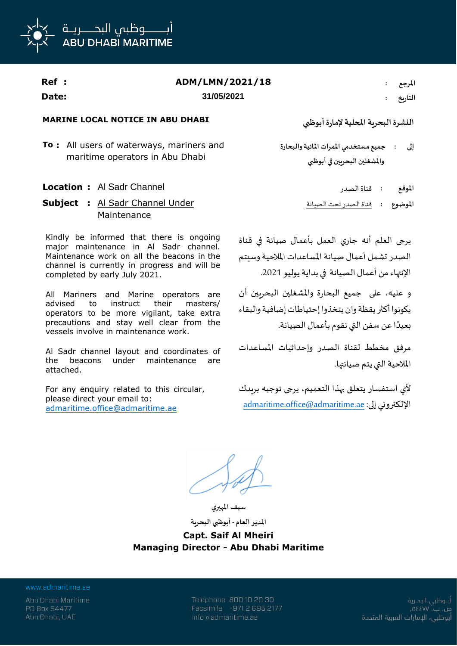

| Ref : | ADM/LMN/2021/18 | المرجع  |
|-------|-----------------|---------|
| Date: | 31/05/2021      | التاريخ |

## **MARINE LOCAL NOTICE IN ABU DHABI أبوظبي إلمارة املحلية البحرية النشرة**

**To :** All users of waterways, mariners and maritime operators in Abu Dhabi

## **Location :** Al Sadr Channel الصدر قناة **: املوقع**

**Subject :** Al Sadr Channel Under Maintenance

Kindly be informed that there is ongoing major maintenance in Al Sadr channel. Maintenance work on all the beacons in the channel is currently in progress and will be completed by early July 2021.

All Mariners and Marine operators are advised to instruct their masters/ operators to be more vigilant, take extra precautions and stay well clear from the vessels involve in maintenance work.

Al Sadr channel layout and coordinates of the beacons under maintenance are attached.

For any enquiry related to this circular, please direct your email to: admaritime.office@admaritime.ae

**جميع مستخدمي املمرات املائية والبحارة واملشغلين البحريين في أبوظبي إلى :**

**املوضوع :** قناة الصدر تحت الصيانة

يرجى العلم أنه جاري العمل بأعمال صيانة في قناة الصدر تشمل أعمال صيانة المساعدات الملاحية وسيتم اإلنتهاء من أعمال الصيانة في بداية يوليو .2021

و عليه، على جميع البحارة واملشغلين البحريين أن يكونوا أكثر يقظة وان يتخذوا إحتياطات إضافية والبقاء .<br>ا بعيدًا عن سفن التي نقوم بأعمال الصيانة.

مرفق مخطط لقناة الصدر وإحداثيات املساعدات الملاحية التي يتم صيانتها.

ألي استفسار يتعلق بهذا التعميم، يرجى توجيه بريدك admaritime.office@admaritime.ae :إلى اإللكتروني

**سيف املهيري**

**املدير العام - أبوظبي البحرية Capt. Saif Al Mheiri Managing Director - Abu Dhabi Maritime**

www.admaritime.ae

Abu Dhabi Maritime PO Box 54477 Abu Dhabi, UAE

Telephone 800 10 20 30 Facsimile +971 2 695 2177 info@admaritime.ae

أبــوظبي البحــرية ص. ب. ۷۷، ۵۶ أبوظبي، الإمارات العربية المتحدة